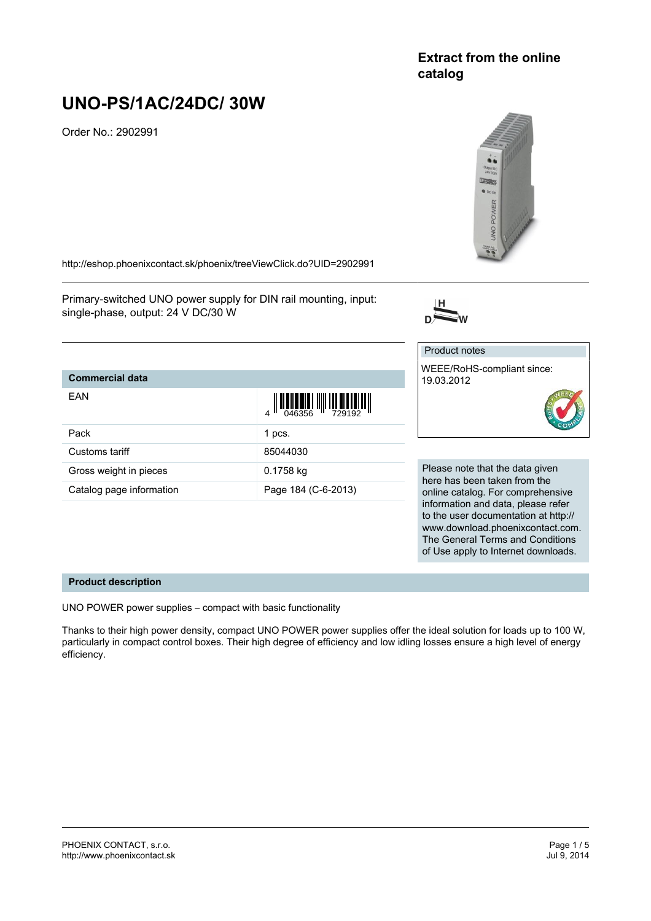# **Extract from the online catalog**

# **UNO-PS/1AC/24DC/ 30W**

Order No.: 2902991



www.download.phoenixcontact.com. The General Terms and Conditions of Use apply to Internet downloads.

<http://eshop.phoenixcontact.sk/phoenix/treeViewClick.do?UID=2902991>

Primary-switched UNO power supply for DIN rail mounting, input: single-phase, output: 24 V DC/30 W



#### **Commercial data** EAN  $\frac{1}{4}$   $\frac{1}{2}$  046356  $\frac{1}{1}$  729192 Pack 1 pcs. Customs tariff 85044030 Gross weight in pieces 0.1758 kg Catalog page information Page 184 (C-6-2013) Product notes WEEE/RoHS-compliant since: 19.03.2012 Please note that the data given here has been taken from the online catalog. For comprehensive information and data, please refer to the user documentation at http://

#### **Product description**

UNO POWER power supplies – compact with basic functionality

Thanks to their high power density, compact UNO POWER power supplies offer the ideal solution for loads up to 100 W, particularly in compact control boxes. Their high degree of efficiency and low idling losses ensure a high level of energy efficiency.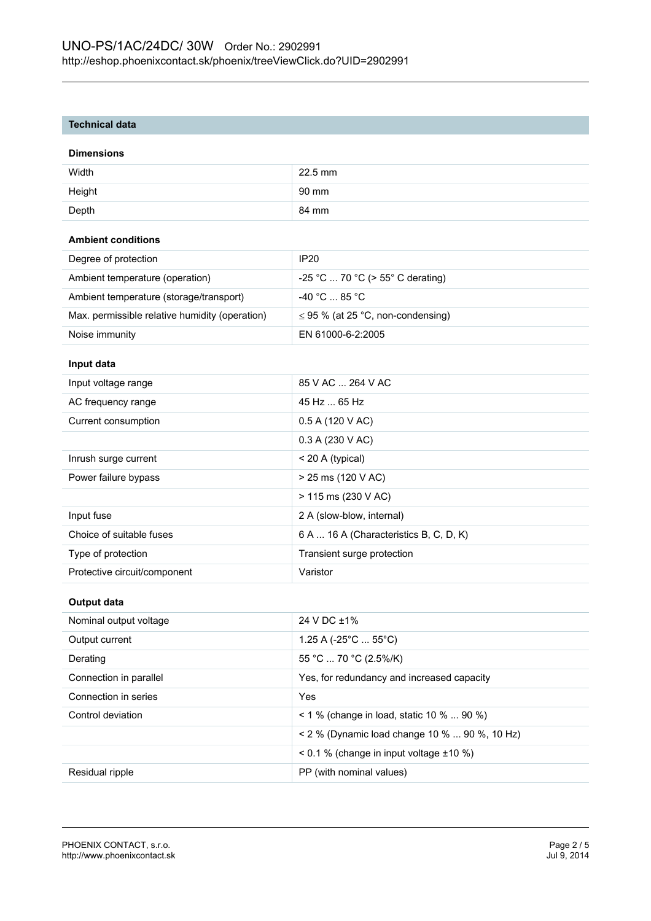# **Technical data**

#### **Dimensions**

| Width  | $22.5$ mm |
|--------|-----------|
| Height | 90 mm     |
| Depth  | 84 mm     |

# **Ambient conditions**

| Degree of protection                           | IP <sub>20</sub>                       |
|------------------------------------------------|----------------------------------------|
| Ambient temperature (operation)                | $-25$ °C  70 °C (> 55° C derating)     |
| Ambient temperature (storage/transport)        | $-40\degree$ C  85 $^{\circ}$ C .      |
| Max. permissible relative humidity (operation) | $\leq$ 95 % (at 25 °C, non-condensing) |
| Noise immunity                                 | EN 61000-6-2:2005                      |

# **Input data**

| Input voltage range          | 85 V AC  264 V AC                      |
|------------------------------|----------------------------------------|
| AC frequency range           | 45 Hz  65 Hz                           |
| Current consumption          | 0.5 A (120 V AC)                       |
|                              | 0.3 A (230 V AC)                       |
| Inrush surge current         | $<$ 20 A (typical)                     |
| Power failure bypass         | $> 25$ ms (120 V AC)                   |
|                              | > 115 ms (230 V AC)                    |
| Input fuse                   | 2 A (slow-blow, internal)              |
| Choice of suitable fuses     | 6 A  16 A (Characteristics B, C, D, K) |
| Type of protection           | Transient surge protection             |
| Protective circuit/component | Varistor                               |

#### **Output data**

| Nominal output voltage | 24 V DC ±1%                                       |
|------------------------|---------------------------------------------------|
| Output current         | 1.25 A (-25 $^{\circ}$ C  55 $^{\circ}$ C)        |
| Derating               | 55 °C  70 °C (2.5%/K)                             |
| Connection in parallel | Yes, for redundancy and increased capacity        |
| Connection in series   | Yes                                               |
| Control deviation      | $1\%$ (change in load, static 10 %  90 %)         |
|                        | < 2 % (Dynamic load change 10 %  90 %, 10 Hz)     |
|                        | $\leq$ 0.1 % (change in input voltage $\pm$ 10 %) |
| Residual ripple        | PP (with nominal values)                          |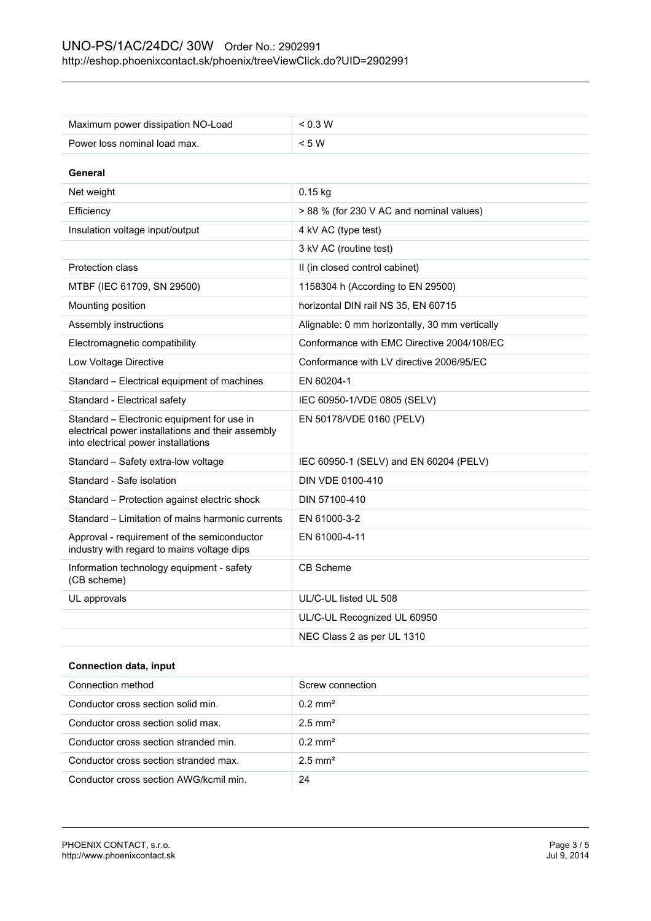| Maximum power dissipation NO-Load                                                                                                      | < 0.3 W                                        |
|----------------------------------------------------------------------------------------------------------------------------------------|------------------------------------------------|
| Power loss nominal load max.                                                                                                           | < 5 W                                          |
| General                                                                                                                                |                                                |
| Net weight                                                                                                                             | $0.15$ kg                                      |
| Efficiency                                                                                                                             | > 88 % (for 230 V AC and nominal values)       |
| Insulation voltage input/output                                                                                                        | 4 kV AC (type test)                            |
|                                                                                                                                        | 3 kV AC (routine test)                         |
| Protection class                                                                                                                       | II (in closed control cabinet)                 |
| MTBF (IEC 61709, SN 29500)                                                                                                             | 1158304 h (According to EN 29500)              |
| Mounting position                                                                                                                      | horizontal DIN rail NS 35, EN 60715            |
| Assembly instructions                                                                                                                  | Alignable: 0 mm horizontally, 30 mm vertically |
| Electromagnetic compatibility                                                                                                          | Conformance with EMC Directive 2004/108/EC     |
| Low Voltage Directive                                                                                                                  | Conformance with LV directive 2006/95/EC       |
| Standard - Electrical equipment of machines                                                                                            | EN 60204-1                                     |
| Standard - Electrical safety                                                                                                           | IEC 60950-1/VDE 0805 (SELV)                    |
| Standard - Electronic equipment for use in<br>electrical power installations and their assembly<br>into electrical power installations | EN 50178/VDE 0160 (PELV)                       |
| Standard – Safety extra-low voltage                                                                                                    | IEC 60950-1 (SELV) and EN 60204 (PELV)         |
| Standard - Safe isolation                                                                                                              | DIN VDE 0100-410                               |
| Standard – Protection against electric shock                                                                                           | DIN 57100-410                                  |
| Standard – Limitation of mains harmonic currents                                                                                       | EN 61000-3-2                                   |
| Approval - requirement of the semiconductor<br>industry with regard to mains voltage dips                                              | EN 61000-4-11                                  |
| Information technology equipment - safety<br>(CB scheme)                                                                               | CB Scheme                                      |
| UL approvals                                                                                                                           | UL/C-UL listed UL 508                          |
|                                                                                                                                        | UL/C-UL Recognized UL 60950                    |
|                                                                                                                                        | NEC Class 2 as per UL 1310                     |

# **Connection data, input**

| Connection method                      | Screw connection      |
|----------------------------------------|-----------------------|
| Conductor cross section solid min.     | $0.2 \text{ mm}^2$    |
| Conductor cross section solid max.     | $2.5$ mm <sup>2</sup> |
| Conductor cross section stranded min.  | $0.2 \text{ mm}^2$    |
| Conductor cross section stranded max.  | $2.5$ mm <sup>2</sup> |
| Conductor cross section AWG/kcmil min. | 24                    |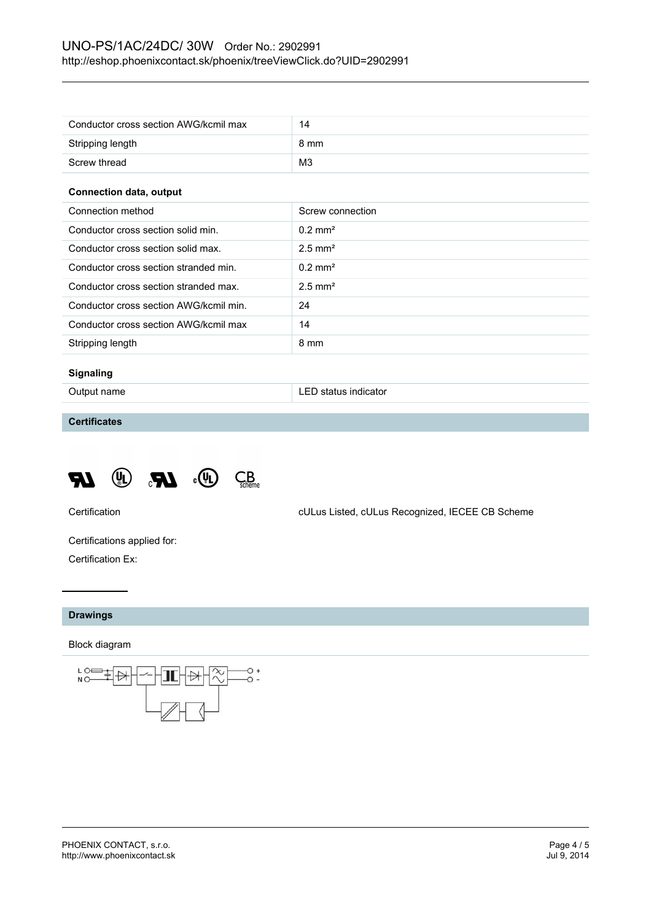| Conductor cross section AWG/kcmil max | 14             |
|---------------------------------------|----------------|
| Stripping length                      | 8 mm           |
| Screw thread                          | M <sub>3</sub> |

#### **Connection data, output**

| Connection method                      | Screw connection      |
|----------------------------------------|-----------------------|
| Conductor cross section solid min.     | $0.2 \text{ mm}^2$    |
| Conductor cross section solid max.     | $2.5$ mm <sup>2</sup> |
| Conductor cross section stranded min.  | $0.2 \text{ mm}^2$    |
| Conductor cross section stranded max.  | $2.5$ mm <sup>2</sup> |
| Conductor cross section AWG/kcmil min. | 24                    |
| Conductor cross section AWG/kcmil max  | 14                    |
| Stripping length                       | 8 mm                  |

# **Signaling**

Output name **LED** status indicator

# **Certificates**



Certification cULus Listed, cULus Recognized, IECEE CB Scheme

Certifications applied for: Certification Ex:

# **Drawings**

Block diagram